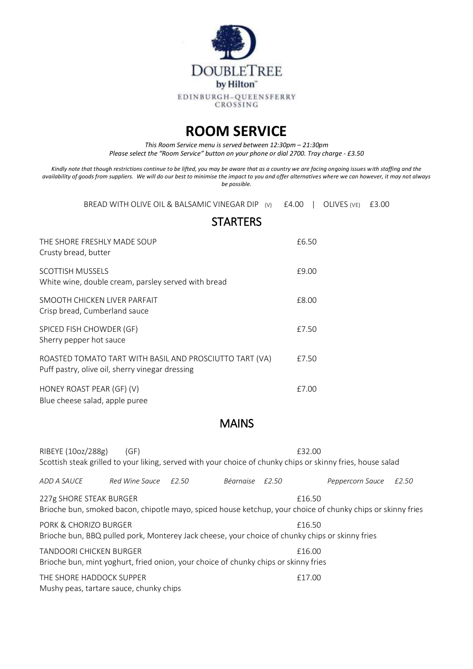

## **ROOM SERVICE**

*This Room Service menu is served between 12:30pm – 21:30pm Please select the "Room Service" button on your phone or dial 2700. Tray charge - £3.50*

*Kindly note that though restrictions continue to be lifted, you may be aware that as a country we are facing ongoing issues with staffing and the availability of goods from suppliers. We will do our best to minimise the impact to you and offer alternatives where we can however, it may not always be possible.* 

BREAD WITH OLIVE OIL & BALSAMIC VINEGAR DIP (v) £4.00 | OLIVES (VE) £3.00

|                                                                                                            | <b>STARTERS</b> |
|------------------------------------------------------------------------------------------------------------|-----------------|
| THE SHORE FRESHLY MADE SOUP<br>Crusty bread, butter                                                        | £6.50           |
| <b>SCOTTISH MUSSELS</b><br>White wine, double cream, parsley served with bread                             | £9.00           |
| SMOOTH CHICKEN LIVER PARFAIT<br>Crisp bread, Cumberland sauce                                              | £8.00           |
| SPICED FISH CHOWDER (GF)<br>Sherry pepper hot sauce                                                        | £7.50           |
| ROASTED TOMATO TART WITH BASIL AND PROSCIUTTO TART (VA)<br>Puff pastry, olive oil, sherry vinegar dressing | £7.50           |
| HONEY ROAST PEAR (GF) (V)<br>Blue cheese salad, apple puree                                                | £7.00           |

## MAINS

| RIBEYE (10oz/288g)                                                                                                    | (GF)                 |           |       | £32.00<br>Scottish steak grilled to your liking, served with your choice of chunky chips or skinny fries, house salad |       |
|-----------------------------------------------------------------------------------------------------------------------|----------------------|-----------|-------|-----------------------------------------------------------------------------------------------------------------------|-------|
| ADD A SAUCE                                                                                                           | Red Wine Sauce £2.50 | Béarnaise | £2.50 | Peppercorn Sauce                                                                                                      | £2.50 |
| 227g SHORE STEAK BURGER                                                                                               |                      |           |       | £16.50<br>Brioche bun, smoked bacon, chipotle mayo, spiced house ketchup, your choice of chunky chips or skinny fries |       |
| PORK & CHORIZO BURGER                                                                                                 |                      |           |       | £16.50<br>Brioche bun, BBQ pulled pork, Monterey Jack cheese, your choice of chunky chips or skinny fries             |       |
| <b>TANDOORI CHICKEN BURGER</b><br>Brioche bun, mint yoghurt, fried onion, your choice of chunky chips or skinny fries |                      |           |       | £16.00                                                                                                                |       |
| THE SHORE HADDOCK SUPPER<br>Mushy peas, tartare sauce, chunky chips                                                   |                      |           |       | £17.00                                                                                                                |       |